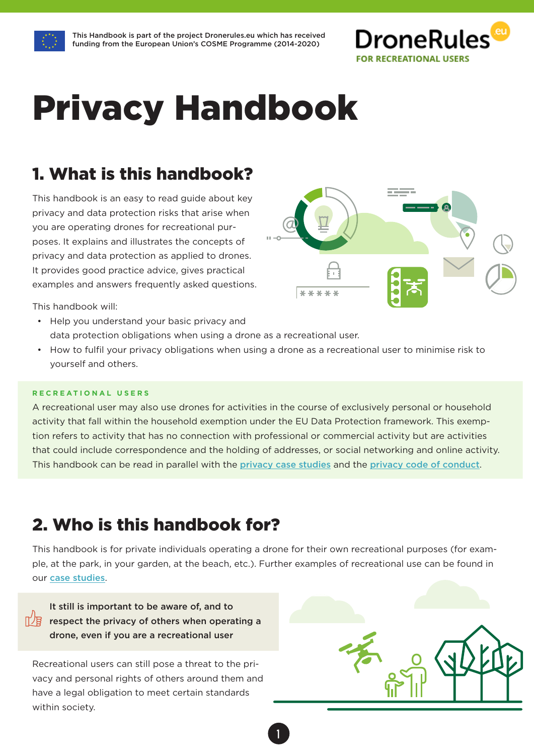

# Privacy Handbook

### 1. What is this handbook?

This handbook is an easy to read guide about key privacy and data protection risks that arise when you are operating drones for recreational purposes. It explains and illustrates the concepts of privacy and data protection as applied to drones. It provides good practice advice, gives practical examples and answers frequently asked questions.

This handbook will:

- Help you understand your basic privacy and data protection obligations when using a drone as a recreational user.
- How to fulfil your privacy obligations when using a drone as a recreational user to minimise risk to yourself and others.

#### **RECREATIONAL USERS**

A recreational user may also use drones for activities in the course of exclusively personal or household activity that fall within the household exemption under the EU Data Protection framework. This exemption refers to activity that has no connection with professional or commercial activity but are activities that could include correspondence and the holding of addresses, or social networking and online activity. This handbook can be read in parallel with the [privacy case studies](http://dronerules.eu/en/recreational/resources/case-studies) and the [privacy code of conduct](http://dronerules.eu/en/recreational/resources/code-of-conduct-for-recreational-users).

### 2. Who is this handbook for?

This handbook is for private individuals operating a drone for their own recreational purposes (for example, at the park, in your garden, at the beach, etc.). Further examples of recreational use can be found in our [case studies](http://dronerules.eu/en/recreational/resources/case-studies).

1

It still is important to be aware of, and to  $\mathbb{T}/\mathbb{F}$  respect the privacy of others when operating a drone, even if you are a recreational user

Recreational users can still pose a threat to the privacy and personal rights of others around them and have a legal obligation to meet certain standards within society.



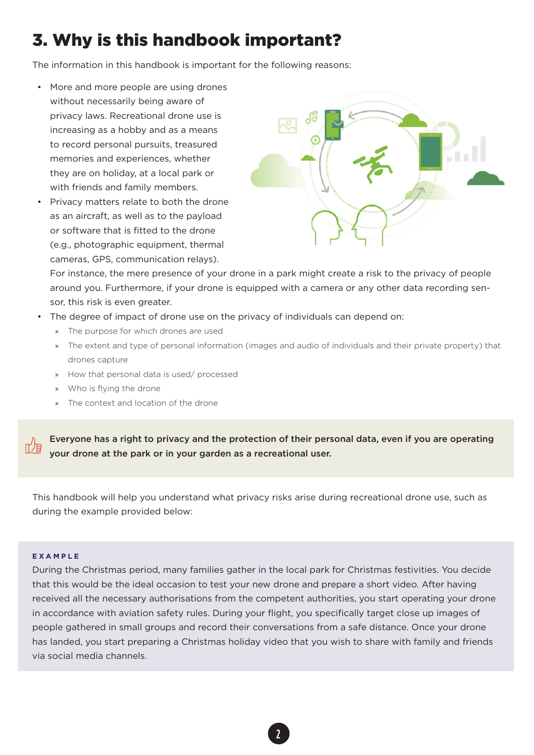### 3. Why is this handbook important?

The information in this handbook is important for the following reasons:

- More and more people are using drones without necessarily being aware of privacy laws. Recreational drone use is increasing as a hobby and as a means to record personal pursuits, treasured memories and experiences, whether they are on holiday, at a local park or with friends and family members.
- Privacy matters relate to both the drone as an aircraft, as well as to the payload or software that is fitted to the drone (e.g., photographic equipment, thermal cameras, GPS, communication relays).



For instance, the mere presence of your drone in a park might create a risk to the privacy of people around you. Furthermore, if your drone is equipped with a camera or any other data recording sensor, this risk is even greater.

- The degree of impact of drone use on the privacy of individuals can depend on:
	- » The purpose for which drones are used
	- » The extent and type of personal information (images and audio of individuals and their private property) that drones capture
	- » How that personal data is used/ processed
	- » Who is flying the drone
	- » The context and location of the drone

Everyone has a right to privacy and the protection of their personal data, even if you are operating your drone at the park or in your garden as a recreational user.

This handbook will help you understand what privacy risks arise during recreational drone use, such as during the example provided below:

#### **EXAMPLE**

During the Christmas period, many families gather in the local park for Christmas festivities. You decide that this would be the ideal occasion to test your new drone and prepare a short video. After having received all the necessary authorisations from the competent authorities, you start operating your drone in accordance with aviation safety rules. During your flight, you specifically target close up images of people gathered in small groups and record their conversations from a safe distance. Once your drone has landed, you start preparing a Christmas holiday video that you wish to share with family and friends via social media channels.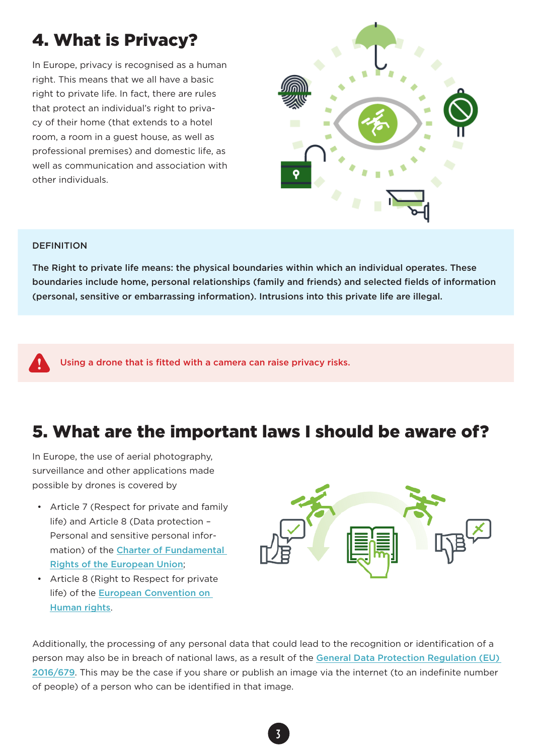### 4. What is Privacy?

In Europe, privacy is recognised as a human right. This means that we all have a basic right to private life. In fact, there are rules that protect an individual's right to privacy of their home (that extends to a hotel room, a room in a guest house, as well as professional premises) and domestic life, as well as communication and association with other individuals.



#### **DEFINITION**

The Right to private life means: the physical boundaries within which an individual operates. These boundaries include home, personal relationships (family and friends) and selected fields of information (personal, sensitive or embarrassing information). Intrusions into this private life are illegal.

Using a drone that is fitted with a camera can raise privacy risks.

### 5. What are the important laws I should be aware of?

In Europe, the use of aerial photography, surveillance and other applications made possible by drones is covered by

- Article 7 (Respect for private and family life) and Article 8 (Data protection – Personal and sensitive personal information) of the [Charter of Fundamental](http://www.europarl.europa.eu/charter/pdf/text_en.pdf)  [Rights of the European Union](http://www.europarl.europa.eu/charter/pdf/text_en.pdf);
- Article 8 (Right to Respect for private life) of the [European Convention on](http://www.echr.coe.int/pages/home.aspx?p=basictexts)  [Human rights](http://www.echr.coe.int/pages/home.aspx?p=basictexts).



Additionally, the processing of any personal data that could lead to the recognition or identification of a person may also be in breach of national laws, as a result of the [General Data Protection Regulation \(EU\)](http://eur-lex.europa.eu/legal-content/EN/TXT/?qid=1475232433683&uri=CELEX:32016R0679)  [2016/679](http://eur-lex.europa.eu/legal-content/EN/TXT/?qid=1475232433683&uri=CELEX:32016R0679). This may be the case if you share or publish an image via the internet (to an indefinite number of people) of a person who can be identified in that image.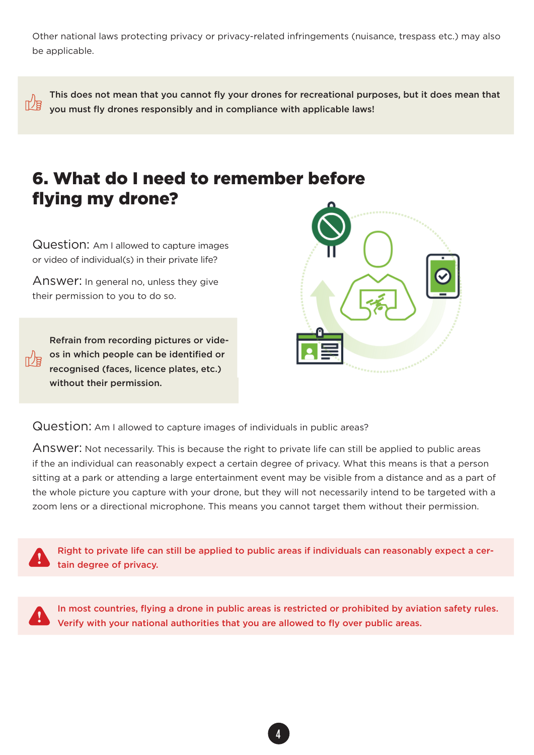Other national laws protecting privacy or privacy-related infringements (nuisance, trespass etc.) may also be applicable.

This does not mean that you cannot fly your drones for recreational purposes, but it does mean that 吖屑 you must fly drones responsibly and in compliance with applicable laws!

### 6. What do I need to remember before flying my drone?

Question: Am I allowed to capture images or video of individual(s) in their private life?

Answer: In general no, unless they give their permission to you to do so.

Refrain from recording pictures or videos in which people can be identified or recognised (faces, licence plates, etc.) without their permission.



Question: Am I allowed to capture images of individuals in public areas?

Answer: Not necessarily. This is because the right to private life can still be applied to public areas if the an individual can reasonably expect a certain degree of privacy. What this means is that a person sitting at a park or attending a large entertainment event may be visible from a distance and as a part of the whole picture you capture with your drone, but they will not necessarily intend to be targeted with a zoom lens or a directional microphone. This means you cannot target them without their permission.

Right to private life can still be applied to public areas if individuals can reasonably expect a certain degree of privacy.

In most countries, flying a drone in public areas is restricted or prohibited by aviation safety rules. Verify with your national authorities that you are allowed to fly over public areas.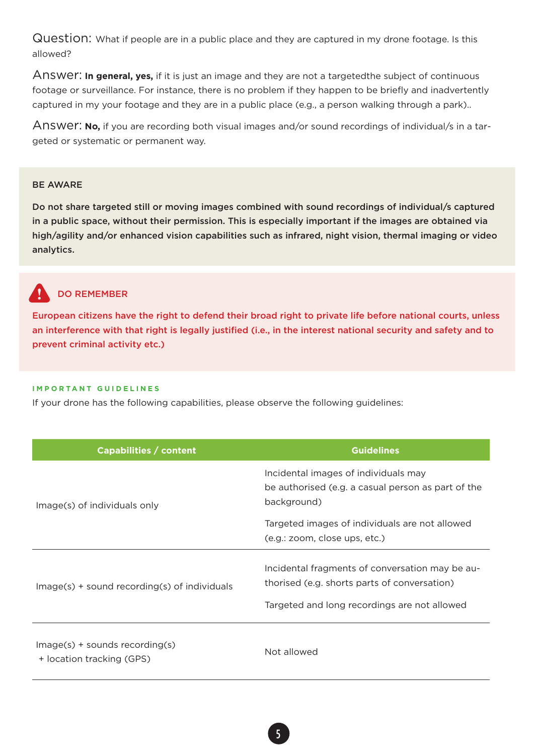Question: What if people are in a public place and they are captured in my drone footage. Is this allowed?

Answer: **In general, yes,** if it is just an image and they are not a targetedthe subject of continuous footage or surveillance. For instance, there is no problem if they happen to be briefly and inadvertently captured in my your footage and they are in a public place (e.g., a person walking through a park)..

Answer: **No,** if you are recording both visual images and/or sound recordings of individual/s in a targeted or systematic or permanent way.

#### BE AWARE

Do not share targeted still or moving images combined with sound recordings of individual/s captured in a public space, without their permission. This is especially important if the images are obtained via high/agility and/or enhanced vision capabilities such as infrared, night vision, thermal imaging or video analytics.

## DO REMEMBER

European citizens have the right to defend their broad right to private life before national courts, unless an interference with that right is legally justified (i.e., in the interest national security and safety and to prevent criminal activity etc.)

#### **IMPORTANT GUIDELINES**

If your drone has the following capabilities, please observe the following guidelines:

| Capabilities / content                                        | <b>Guidelines</b>                                                                                                                               |
|---------------------------------------------------------------|-------------------------------------------------------------------------------------------------------------------------------------------------|
| Image(s) of individuals only                                  | Incidental images of individuals may<br>be authorised (e.g. a casual person as part of the<br>background)                                       |
|                                                               | Targeted images of individuals are not allowed<br>(e.g.: zoom, close ups, etc.)                                                                 |
| $Image(s)$ + sound recording(s) of individuals                | Incidental fragments of conversation may be au-<br>thorised (e.g. shorts parts of conversation)<br>Targeted and long recordings are not allowed |
| $Image(s)$ + sounds recording(s)<br>+ location tracking (GPS) | Not allowed                                                                                                                                     |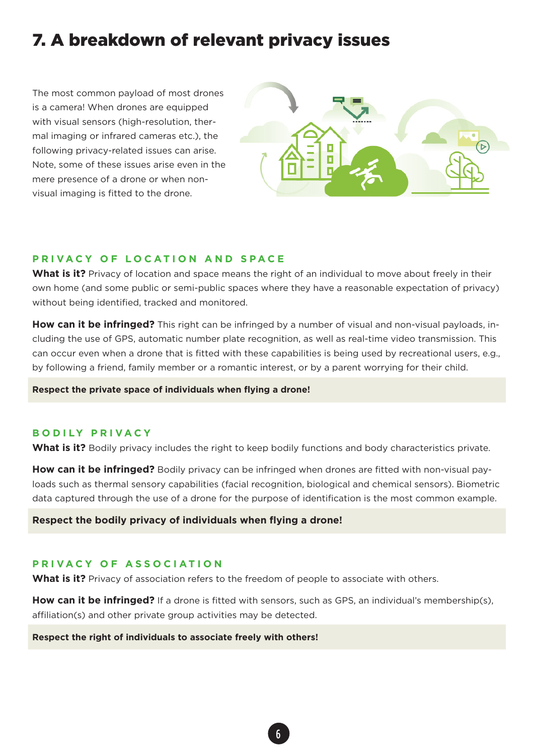### 7. A breakdown of relevant privacy issues

The most common payload of most drones is a camera! When drones are equipped with visual sensors (high-resolution, thermal imaging or infrared cameras etc.), the following privacy-related issues can arise. Note, some of these issues arise even in the mere presence of a drone or when nonvisual imaging is fitted to the drone.



#### **PRIVACY OF LOCATION AND SPACE**

What is it? Privacy of location and space means the right of an individual to move about freely in their own home (and some public or semi-public spaces where they have a reasonable expectation of privacy) without being identified, tracked and monitored.

**How can it be infringed?** This right can be infringed by a number of visual and non-visual payloads, including the use of GPS, automatic number plate recognition, as well as real-time video transmission. This can occur even when a drone that is fitted with these capabilities is being used by recreational users, e.g., by following a friend, family member or a romantic interest, or by a parent worrying for their child.

**Respect the private space of individuals when flying a drone!**

#### **BODILY PRIVACY**

What is it? Bodily privacy includes the right to keep bodily functions and body characteristics private.

**How can it be infringed?** Bodily privacy can be infringed when drones are fitted with non-visual payloads such as thermal sensory capabilities (facial recognition, biological and chemical sensors). Biometric data captured through the use of a drone for the purpose of identification is the most common example.

**Respect the bodily privacy of individuals when flying a drone!**

#### **PRIVACY OF ASSOCIATION**

**What is it?** Privacy of association refers to the freedom of people to associate with others.

**How can it be infringed?** If a drone is fitted with sensors, such as GPS, an individual's membership(s), affiliation(s) and other private group activities may be detected.

#### **Respect the right of individuals to associate freely with others!**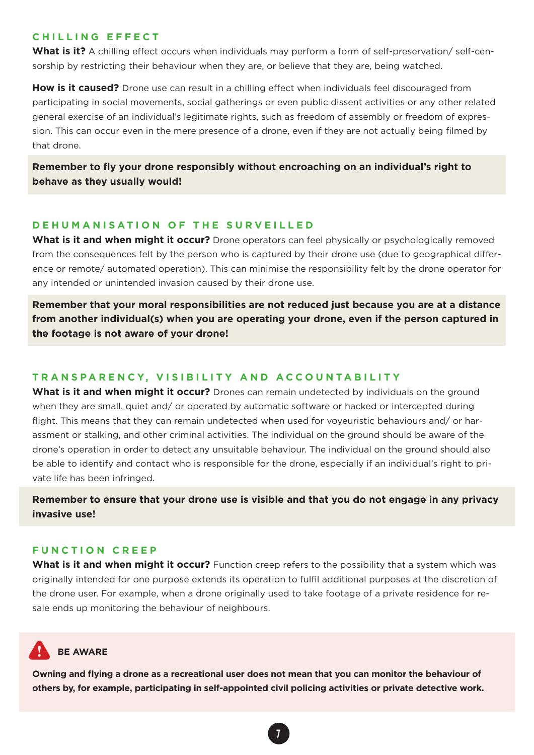#### **CHILLING EFFECT**

What is it? A chilling effect occurs when individuals may perform a form of self-preservation/ self-censorship by restricting their behaviour when they are, or believe that they are, being watched.

**How is it caused?** Drone use can result in a chilling effect when individuals feel discouraged from participating in social movements, social gatherings or even public dissent activities or any other related general exercise of an individual's legitimate rights, such as freedom of assembly or freedom of expression. This can occur even in the mere presence of a drone, even if they are not actually being filmed by that drone.

#### **Remember to fly your drone responsibly without encroaching on an individual's right to behave as they usually would!**

#### **DEHUMANISATION OF THE SURVEILLED**

What is it and when might it occur? Drone operators can feel physically or psychologically removed from the consequences felt by the person who is captured by their drone use (due to geographical difference or remote/ automated operation). This can minimise the responsibility felt by the drone operator for any intended or unintended invasion caused by their drone use.

**Remember that your moral responsibilities are not reduced just because you are at a distance from another individual(s) when you are operating your drone, even if the person captured in the footage is not aware of your drone!** 

#### **TRANSPARENCY, VISIBILITY AND ACCOUNTABILITY**

**What is it and when might it occur?** Drones can remain undetected by individuals on the ground when they are small, quiet and/ or operated by automatic software or hacked or intercepted during flight. This means that they can remain undetected when used for voyeuristic behaviours and/ or harassment or stalking, and other criminal activities. The individual on the ground should be aware of the drone's operation in order to detect any unsuitable behaviour. The individual on the ground should also be able to identify and contact who is responsible for the drone, especially if an individual's right to private life has been infringed.

**Remember to ensure that your drone use is visible and that you do not engage in any privacy invasive use!** 

#### **FUNCTION CREEP**

**What is it and when might it occur?** Function creep refers to the possibility that a system which was originally intended for one purpose extends its operation to fulfil additional purposes at the discretion of the drone user. For example, when a drone originally used to take footage of a private residence for resale ends up monitoring the behaviour of neighbours.

### **BE AWARE**

**Owning and flying a drone as a recreational user does not mean that you can monitor the behaviour of others by, for example, participating in self-appointed civil policing activities or private detective work.**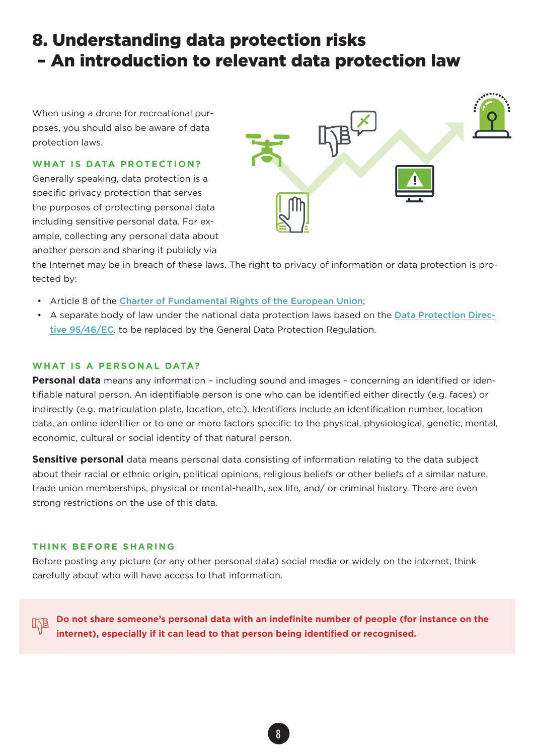### 8. Understanding data protection risks – An introduction to relevant data protection law

When using a drone for recreational purposes, you should also be aware of data protection laws.

#### **WHAT IS DATA PROTECTION?**

Generally speaking, data protection is a specific privacy protection that serves the purposes of protecting personal data including sensitive personal data. For example, collecting any personal data about another person and sharing it publicly via



the Internet may be in breach of these laws. The right to privacy of information or data protection is protected by:

- Article 8 of the [Charter of Fundamental Rights of the European Union](http://www.europarl.europa.eu/charter/pdf/text_en.pdf);
- A separate body of law under the national data protection laws based on the [Data Protection Direc](http://eur-lex.europa.eu/LexUriServ/LexUriServ.do?uri=CELEX:31995L0046:en:HTML)[tive 95/46/EC](http://eur-lex.europa.eu/LexUriServ/LexUriServ.do?uri=CELEX:31995L0046:en:HTML). to be replaced by the General Data Protection Regulation.

#### **WHAT IS A PERSONAL DATA?**

**Personal data** means any information – including sound and images – concerning an identified or identifiable natural person. An identifiable person is one who can be identified either directly (e.g. faces) or indirectly (e.g. matriculation plate, location, etc.). Identifiers include an identification number, location data, an online identifier or to one or more factors specific to the physical, physiological, genetic, mental, economic, cultural or social identity of that natural person.

**Sensitive personal** data means personal data consisting of information relating to the data subject about their racial or ethnic origin, political opinions, religious beliefs or other beliefs of a similar nature, trade union memberships, physical or mental-health, sex life, and/ or criminal history. There are even strong restrictions on the use of this data.

#### **THINK BEFORE SHARING**

Before posting any picture (or any other personal data) social media or widely on the internet, think carefully about who will have access to that information.

**Do not share someone's personal data with an indefinite number of people (for instance on the internet), especially if it can lead to that person being identified or recognised.**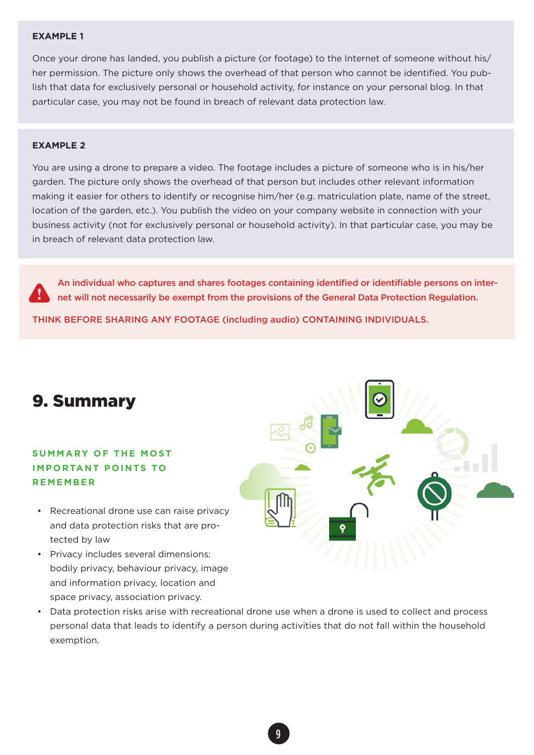#### **EXAMPLE 1**

Once your drone has landed, you publish a picture (or footage) to the Internet of someone without his/ her permission. The picture only shows the overhead of that person who cannot be identified. You publish that data for exclusively personal or household activity, for instance on your personal blog. In that particular case, you may not be found in breach of relevant data protection law.

#### **EXAMPLE 2**

You are using a drone to prepare a video. The footage includes a picture of someone who is in his/her garden. The picture only shows the overhead of that person but includes other relevant information making it easier for others to identify or recognise him/her (e.g. matriculation plate, name of the street, location of the garden, etc.). You publish the video on your company website in connection with your business activity (not for exclusively personal or household activity). In that particular case, you may be in breach of relevant data protection law.

An individual who captures and shares footages containing identified or identifiable persons on internet will not necessarily be exempt from the provisions of the General Data Protection Regulation.

THINK BEFORE SHARING ANY FOOTAGE (including audio) CONTAINING INDIVIDUALS.



#### **SUMMARY OF THE MOST IMPORTANT POINTS TO R E M E M B E R**

- Recreational drone use can raise privacy and data protection risks that are protected by law
- Privacy includes several dimensions: bodily privacy, behaviour privacy, image and information privacy, location and space privacy, association privacy.
- Data protection risks arise with recreational drone use when a drone is used to collect and process personal data that leads to identify a person during activities that do not fall within the household exemption.

Я'n